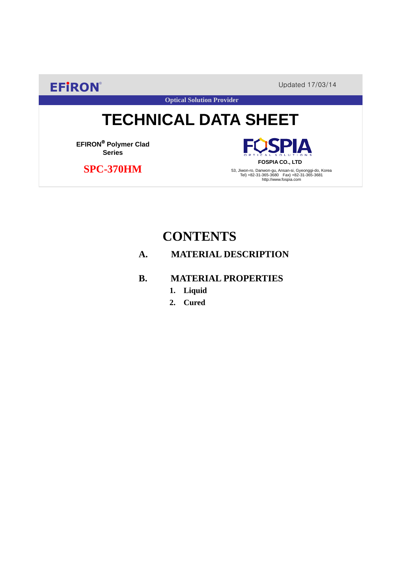**EFIRON®** Updated 17/03/14

PIA

# **TECHNICAL DATA SHEET**

**Optical Solution Provider**

**EFIRON**® **Polymer Clad Series**

 **SPC-370HM**

**FOSPIA CO., LTD** 53, Jiwon-ro, Danwon-gu, Ansan-si, Gyeonggi-do, Korea Tel) +82-31-365-3680 Fax) +82-31-365-3681 http://www.fospia.com

## **CONTENTS**

## **A. MATERIAL DESCRIPTION**

## **B. MATERIAL PROPERTIES**

- **1. Liquid**
- **2. Cured**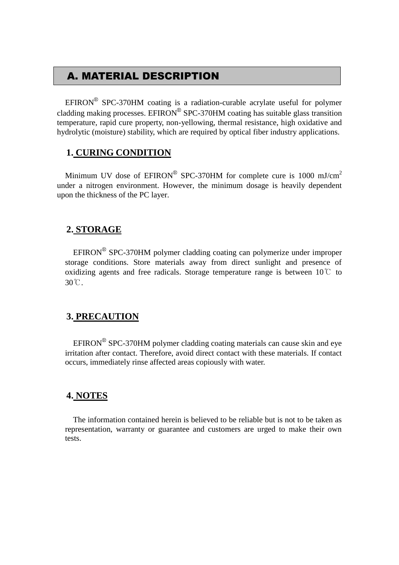## A. MATERIAL DESCRIPTION

 $EFINON^{\circledR}$  SPC-370HM coating is a radiation-curable acrylate useful for polymer cladding making processes. EFIRON<sup>®</sup> SPC-370HM coating has suitable glass transition temperature, rapid cure property, non-yellowing, thermal resistance, high oxidative and hydrolytic (moisture) stability, which are required by optical fiber industry applications.

#### **1. CURING CONDITION**

Minimum UV dose of  $EPIRON^{\circledR}$  SPC-370HM for complete cure is 1000 mJ/cm<sup>2</sup> under a nitrogen environment. However, the minimum dosage is heavily dependent upon the thickness of the PC layer.

#### **2. STORAGE**

 $EFINON^{\circledR}$  SPC-370HM polymer cladding coating can polymerize under improper storage conditions. Store materials away from direct sunlight and presence of oxidizing agents and free radicals. Storage temperature range is between  $10^{\circ}$  to 30℃.

#### **3. PRECAUTION**

 $EFINON^{\circledR}$  SPC-370HM polymer cladding coating materials can cause skin and eye irritation after contact. Therefore, avoid direct contact with these materials. If contact occurs, immediately rinse affected areas copiously with water.

#### **4. NOTES**

The information contained herein is believed to be reliable but is not to be taken as representation, warranty or guarantee and customers are urged to make their own tests.